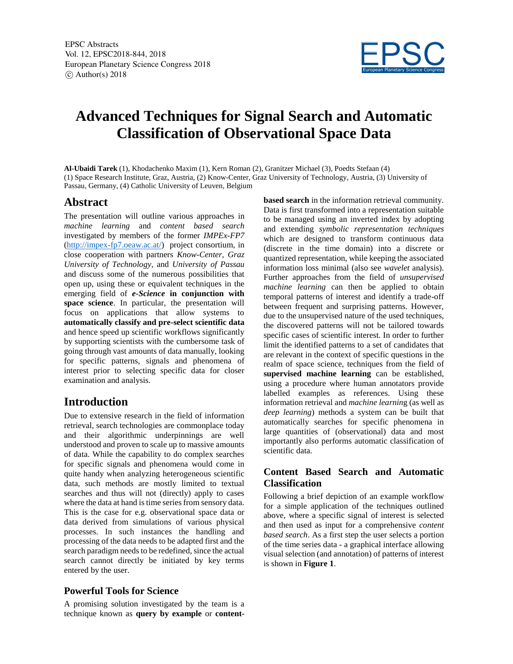

# **Advanced Techniques for Signal Search and Automatic Classification of Observational Space Data**

**Al-Ubaidi Tarek** (1), Khodachenko Maxim (1), Kern Roman (2), Granitzer Michael (3), Poedts Stefaan (4) (1) Space Research Institute, Graz, Austria, (2) Know-Center, Graz University of Technology, Austria, (3) University of Passau, Germany, (4) Catholic University of Leuven, Belgium

## **Abstract**

The presentation will outline various approaches in *machine learning* and *content based search* investigated by members of the former *IMPEx-FP7*  (http://impex-fp7.oeaw.ac.at/) project consortium, in close cooperation with partners *Know-Center, Graz University of Technology*, and *University of Passau* and discuss some of the numerous possibilities that open up, using these or equivalent techniques in the emerging field of *e-Science* **in conjunction with space science**. In particular, the presentation will focus on applications that allow systems to **automatically classify and pre-select scientific data** and hence speed up scientific workflows significantly by supporting scientists with the cumbersome task of going through vast amounts of data manually, looking for specific patterns, signals and phenomena of interest prior to selecting specific data for closer examination and analysis.

## **Introduction**

Due to extensive research in the field of information retrieval, search technologies are commonplace today and their algorithmic underpinnings are well understood and proven to scale up to massive amounts of data. While the capability to do complex searches for specific signals and phenomena would come in quite handy when analyzing heterogeneous scientific data, such methods are mostly limited to textual searches and thus will not (directly) apply to cases where the data at hand is time series from sensory data. This is the case for e.g. observational space data or data derived from simulations of various physical processes. In such instances the handling and processing of the data needs to be adapted first and the search paradigm needs to be redefined, since the actual search cannot directly be initiated by key terms entered by the user.

#### **Powerful Tools for Science**

A promising solution investigated by the team is a technique known as **query by example** or **content-** **based search** in the information retrieval community. Data is first transformed into a representation suitable to be managed using an inverted index by adopting and extending *symbolic representation techniques* which are designed to transform continuous data (discrete in the time domain) into a discrete or quantized representation, while keeping the associated information loss minimal (also see *wavelet* analysis). Further approaches from the field of *unsupervised machine learning* can then be applied to obtain temporal patterns of interest and identify a trade-off between frequent and surprising patterns. However, due to the unsupervised nature of the used techniques, the discovered patterns will not be tailored towards specific cases of scientific interest. In order to further limit the identified patterns to a set of candidates that are relevant in the context of specific questions in the realm of space science, techniques from the field of **supervised machine learning** can be established, using a procedure where human annotators provide labelled examples as references. Using these information retrieval and *machine learnin*g (as well as *deep learning*) methods a system can be built that automatically searches for specific phenomena in large quantities of (observational) data and most importantly also performs automatic classification of scientific data.

#### **Content Based Search and Automatic Classification**

Following a brief depiction of an example workflow for a simple application of the techniques outlined above, where a specific signal of interest is selected and then used as input for a comprehensive *content based search*. As a first step the user selects a portion of the time series data - a graphical interface allowing visual selection (and annotation) of patterns of interest is shown in **Figure 1**.